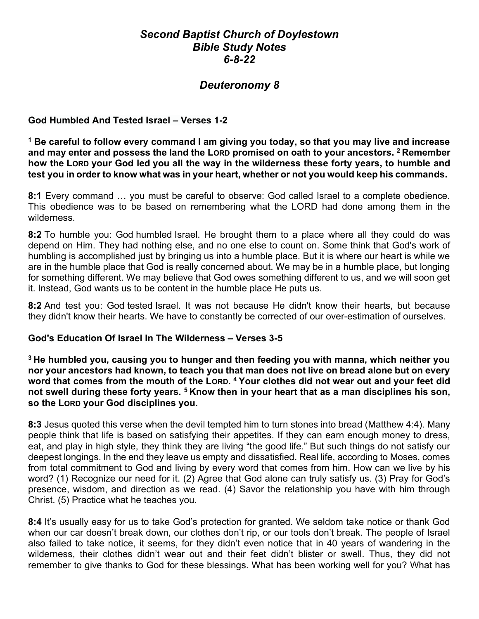## Second Baptist Church of Doylestown Bible Study Notes 6-8-22

# Deuteronomy 8

#### God Humbled And Tested Israel – Verses 1-2

 $^{\rm 1}$  Be careful to follow every command I am giving you today, so that you may live and increase and may enter and possess the land the LORD promised on oath to your ancestors.  $2$  Remember how the LORD your God led you all the way in the wilderness these forty years, to humble and test you in order to know what was in your heart, whether or not you would keep his commands.

8:1 Every command ... you must be careful to observe: God called Israel to a complete obedience. This obedience was to be based on remembering what the LORD had done among them in the wilderness.

8:2 To humble you: God humbled Israel. He brought them to a place where all they could do was depend on Him. They had nothing else, and no one else to count on. Some think that God's work of humbling is accomplished just by bringing us into a humble place. But it is where our heart is while we are in the humble place that God is really concerned about. We may be in a humble place, but longing for something different. We may believe that God owes something different to us, and we will soon get it. Instead, God wants us to be content in the humble place He puts us.

8:2 And test you: God tested Israel. It was not because He didn't know their hearts, but because they didn't know their hearts. We have to constantly be corrected of our over-estimation of ourselves.

#### God's Education Of Israel In The Wilderness – Verses 3-5

<sup>3</sup> He humbled you, causing you to hunger and then feeding you with manna, which neither you nor your ancestors had known, to teach you that man does not live on bread alone but on every word that comes from the mouth of the Lorp. <sup>4</sup> Your clothes did not wear out and your feet did not swell during these forty years. <sup>5</sup> Know then in your heart that as a man disciplines his son, so the LORD your God disciplines you.

8:3 Jesus quoted this verse when the devil tempted him to turn stones into bread (Matthew 4:4). Many people think that life is based on satisfying their appetites. If they can earn enough money to dress, eat, and play in high style, they think they are living "the good life." But such things do not satisfy our deepest longings. In the end they leave us empty and dissatisfied. Real life, according to Moses, comes from total commitment to God and living by every word that comes from him. How can we live by his word? (1) Recognize our need for it. (2) Agree that God alone can truly satisfy us. (3) Pray for God's presence, wisdom, and direction as we read. (4) Savor the relationship you have with him through Christ. (5) Practice what he teaches you.

8:4 It's usually easy for us to take God's protection for granted. We seldom take notice or thank God when our car doesn't break down, our clothes don't rip, or our tools don't break. The people of Israel also failed to take notice, it seems, for they didn't even notice that in 40 years of wandering in the wilderness, their clothes didn't wear out and their feet didn't blister or swell. Thus, they did not remember to give thanks to God for these blessings. What has been working well for you? What has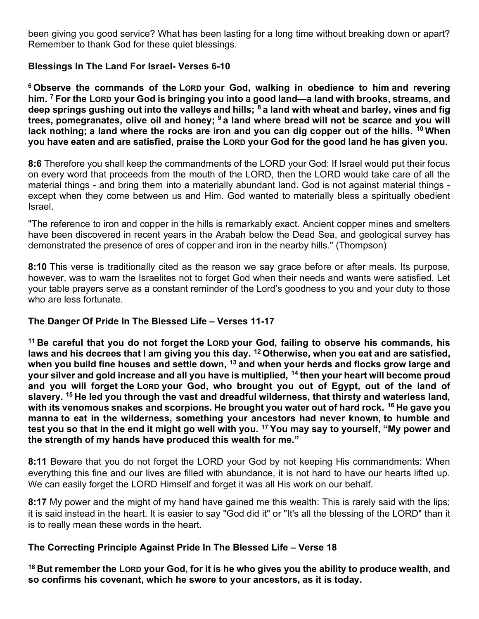been giving you good service? What has been lasting for a long time without breaking down or apart? Remember to thank God for these quiet blessings.

### Blessings In The Land For Israel- Verses 6-10

<sup>6</sup> Observe the commands of the LORD your God, walking in obedience to him and revering him. <sup>7</sup> For the LORD your God is bringing you into a good land—a land with brooks, streams, and deep springs gushing out into the valleys and hills;  $8$  a land with wheat and barley, vines and fig trees, pomegranates, olive oil and honey; <sup>9</sup> a land where bread will not be scarce and you will lack nothing; a land where the rocks are iron and you can dig copper out of the hills.  $10$  When you have eaten and are satisfied, praise the LORD your God for the good land he has given you.

8:6 Therefore you shall keep the commandments of the LORD your God: If Israel would put their focus on every word that proceeds from the mouth of the LORD, then the LORD would take care of all the material things - and bring them into a materially abundant land. God is not against material things except when they come between us and Him. God wanted to materially bless a spiritually obedient Israel.

"The reference to iron and copper in the hills is remarkably exact. Ancient copper mines and smelters have been discovered in recent years in the Arabah below the Dead Sea, and geological survey has demonstrated the presence of ores of copper and iron in the nearby hills." (Thompson)

8:10 This verse is traditionally cited as the reason we say grace before or after meals. Its purpose, however, was to warn the Israelites not to forget God when their needs and wants were satisfied. Let your table prayers serve as a constant reminder of the Lord's goodness to you and your duty to those who are less fortunate.

## The Danger Of Pride In The Blessed Life – Verses 11-17

<sup>11</sup> Be careful that you do not forget the LORD your God, failing to observe his commands, his laws and his decrees that I am giving you this day.  $^{12}$  Otherwise, when you eat and are satisfied, when you build fine houses and settle down, <sup>13</sup> and when your herds and flocks grow large and your silver and gold increase and all you have is multiplied, <sup>14</sup> then your heart will become proud and you will forget the LORD your God, who brought you out of Egypt, out of the land of slavery. <sup>15</sup> He led you through the vast and dreadful wilderness, that thirsty and waterless land, with its venomous snakes and scorpions. He brought you water out of hard rock.  $16$  He gave you manna to eat in the wilderness, something your ancestors had never known, to humble and test you so that in the end it might go well with you. <sup>17</sup> You may say to yourself, "My power and the strength of my hands have produced this wealth for me."

8:11 Beware that you do not forget the LORD your God by not keeping His commandments: When everything this fine and our lives are filled with abundance, it is not hard to have our hearts lifted up. We can easily forget the LORD Himself and forget it was all His work on our behalf.

8:17 My power and the might of my hand have gained me this wealth: This is rarely said with the lips; it is said instead in the heart. It is easier to say "God did it" or "It's all the blessing of the LORD" than it is to really mean these words in the heart.

## The Correcting Principle Against Pride In The Blessed Life – Verse 18

 $18$  But remember the LORD your God, for it is he who gives you the ability to produce wealth, and so confirms his covenant, which he swore to your ancestors, as it is today.